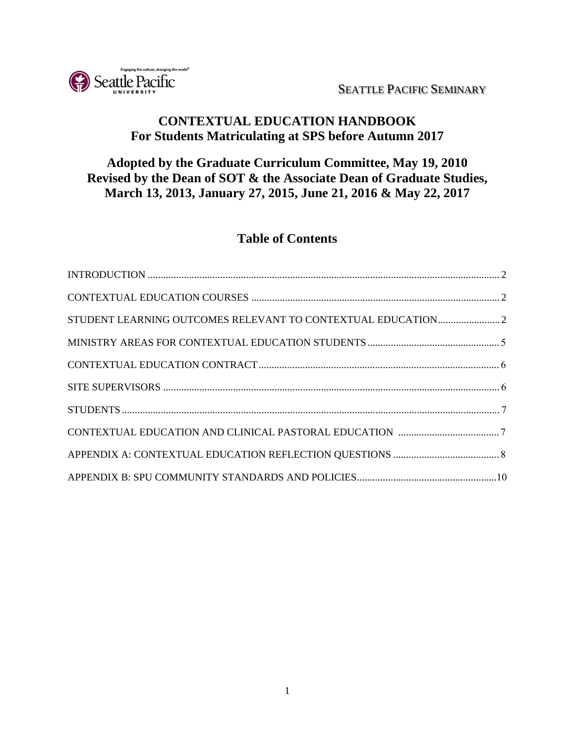SEATTLE PACIFIC SEMINARY



## **CONTEXTUAL EDUCATION HANDBOOK For Students Matriculating at SPS before Autumn 2017**

## **Adopted by the Graduate Curriculum Committee, May 19, 2010 Revised by the Dean of SOT & the Associate Dean of Graduate Studies, March 13, 2013, January 27, 2015, June 21, 2016 & May 22, 2017**

# **Table of Contents**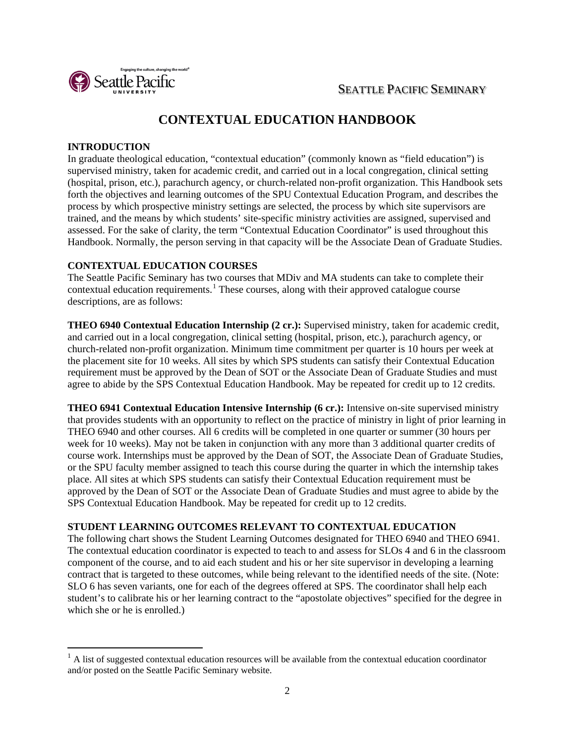<span id="page-1-0"></span>SEATTLE PACIFIC SEMINARY



# **CONTEXTUAL EDUCATION HANDBOOK**

### **INTRODUCTION**

In graduate theological education, "contextual education" (commonly known as "field education") is supervised ministry, taken for academic credit, and carried out in a local congregation, clinical setting (hospital, prison, etc.), parachurch agency, or church-related non-profit organization. This Handbook sets forth the objectives and learning outcomes of the SPU Contextual Education Program, and describes the process by which prospective ministry settings are selected, the process by which site supervisors are trained, and the means by which students' site-specific ministry activities are assigned, supervised and assessed. For the sake of clarity, the term "Contextual Education Coordinator" is used throughout this Handbook. Normally, the person serving in that capacity will be the Associate Dean of Graduate Studies.

### <span id="page-1-1"></span>**CONTEXTUAL EDUCATION COURSES**

The Seattle Pacific Seminary has two courses that MDiv and MA students can take to complete their contextual education requirements.<sup>[1](#page-1-3)</sup> These courses, along with their approved catalogue course descriptions, are as follows:

**THEO 6940 Contextual Education Internship (2 cr.):** Supervised ministry, taken for academic credit, and carried out in a local congregation, clinical setting (hospital, prison, etc.), parachurch agency, or church-related non-profit organization. Minimum time commitment per quarter is 10 hours per week at the placement site for 10 weeks. All sites by which SPS students can satisfy their Contextual Education requirement must be approved by the Dean of SOT or the Associate Dean of Graduate Studies and must agree to abide by the SPS Contextual Education Handbook. May be repeated for credit up to 12 credits.

**THEO 6941 Contextual Education Intensive Internship (6 cr.):** Intensive on-site supervised ministry that provides students with an opportunity to reflect on the practice of ministry in light of prior learning in THEO 6940 and other courses. All 6 credits will be completed in one quarter or summer (30 hours per week for 10 weeks). May not be taken in conjunction with any more than 3 additional quarter credits of course work. Internships must be approved by the Dean of SOT, the Associate Dean of Graduate Studies, or the SPU faculty member assigned to teach this course during the quarter in which the internship takes place. All sites at which SPS students can satisfy their Contextual Education requirement must be approved by the Dean of SOT or the Associate Dean of Graduate Studies and must agree to abide by the SPS Contextual Education Handbook. May be repeated for credit up to 12 credits.

### **STUDENT LEARNING OUTCOMES RELEVANT TO CONTEXTUAL EDUCATION**

The following chart shows the Student Learning Outcomes designated for THEO 6940 and THEO 6941. The contextual education coordinator is expected to teach to and assess for SLOs 4 and 6 in the classroom component of the course, and to aid each student and his or her site supervisor in developing a learning contract that is targeted to these outcomes, while being relevant to the identified needs of the site. (Note: SLO 6 has seven variants, one for each of the degrees offered at SPS. The coordinator shall help each student's to calibrate his or her learning contract to the "apostolate objectives" specified for the degree in which she or he is enrolled.)

<span id="page-1-3"></span><span id="page-1-2"></span><sup>&</sup>lt;sup>1</sup> A list of suggested contextual education resources will be available from the contextual education coordinator and/or posted on the Seattle Pacific Seminary website.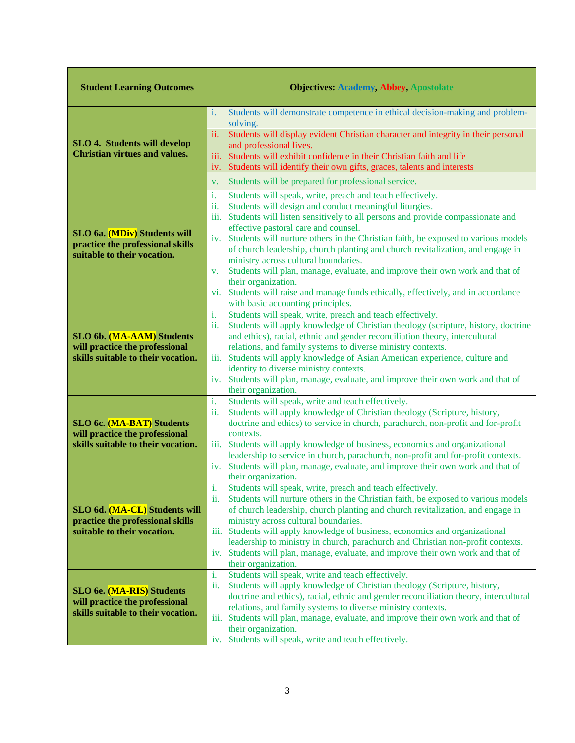| <b>Student Learning Outcomes</b>                                                                  | <b>Objectives: Academy, Abbey, Apostolate</b>                                                                                                                                                                                                                                                                                                                                                                                                                                                                                                                                                |
|---------------------------------------------------------------------------------------------------|----------------------------------------------------------------------------------------------------------------------------------------------------------------------------------------------------------------------------------------------------------------------------------------------------------------------------------------------------------------------------------------------------------------------------------------------------------------------------------------------------------------------------------------------------------------------------------------------|
| <b>SLO 4. Students will develop</b><br><b>Christian virtues and values.</b>                       | Students will demonstrate competence in ethical decision-making and problem-<br>i.<br>solving.<br>Students will display evident Christian character and integrity in their personal<br>ii.<br>and professional lives.<br>Students will exhibit confidence in their Christian faith and life<br>iii.<br>iv. Students will identify their own gifts, graces, talents and interests                                                                                                                                                                                                             |
|                                                                                                   | Students will be prepared for professional service.<br>V.<br>i.<br>Students will speak, write, preach and teach effectively.<br>Students will design and conduct meaningful liturgies.                                                                                                                                                                                                                                                                                                                                                                                                       |
| SLO 6a. (MDiv) Students will<br>practice the professional skills<br>suitable to their vocation.   | ii.<br>iii. Students will listen sensitively to all persons and provide compassionate and<br>effective pastoral care and counsel.<br>iv. Students will nurture others in the Christian faith, be exposed to various models<br>of church leadership, church planting and church revitalization, and engage in<br>ministry across cultural boundaries.<br>Students will plan, manage, evaluate, and improve their own work and that of<br>V.<br>their organization.<br>vi. Students will raise and manage funds ethically, effectively, and in accordance<br>with basic accounting principles. |
| SLO 6b. (MA-AAM) Students<br>will practice the professional<br>skills suitable to their vocation. | Students will speak, write, preach and teach effectively.<br>i.<br>Students will apply knowledge of Christian theology (scripture, history, doctrine<br>ii.<br>and ethics), racial, ethnic and gender reconciliation theory, intercultural<br>relations, and family systems to diverse ministry contexts.<br>iii. Students will apply knowledge of Asian American experience, culture and<br>identity to diverse ministry contexts.<br>iv. Students will plan, manage, evaluate, and improve their own work and that of<br>their organization.                                               |
| SLO 6c. (MA-BAT) Students<br>will practice the professional<br>skills suitable to their vocation. | Students will speak, write and teach effectively.<br>i.<br>Students will apply knowledge of Christian theology (Scripture, history,<br>ii.<br>doctrine and ethics) to service in church, parachurch, non-profit and for-profit<br>contexts.<br>iii. Students will apply knowledge of business, economics and organizational<br>leadership to service in church, parachurch, non-profit and for-profit contexts.<br>iv. Students will plan, manage, evaluate, and improve their own work and that of<br>their organization.                                                                   |
| SLO 6d. (MA-CL) Students will<br>practice the professional skills<br>suitable to their vocation.  | Students will speak, write, preach and teach effectively.<br>i.<br>Students will nurture others in the Christian faith, be exposed to various models<br>ii.<br>of church leadership, church planting and church revitalization, and engage in<br>ministry across cultural boundaries.<br>iii. Students will apply knowledge of business, economics and organizational<br>leadership to ministry in church, parachurch and Christian non-profit contexts.<br>iv. Students will plan, manage, evaluate, and improve their own work and that of<br>their organization.                          |
| SLO 6e. (MA-RIS) Students<br>will practice the professional<br>skills suitable to their vocation. | Students will speak, write and teach effectively.<br>i.<br>Students will apply knowledge of Christian theology (Scripture, history,<br>ii.<br>doctrine and ethics), racial, ethnic and gender reconciliation theory, intercultural<br>relations, and family systems to diverse ministry contexts.<br>iii. Students will plan, manage, evaluate, and improve their own work and that of<br>their organization.<br>iv. Students will speak, write and teach effectively.                                                                                                                       |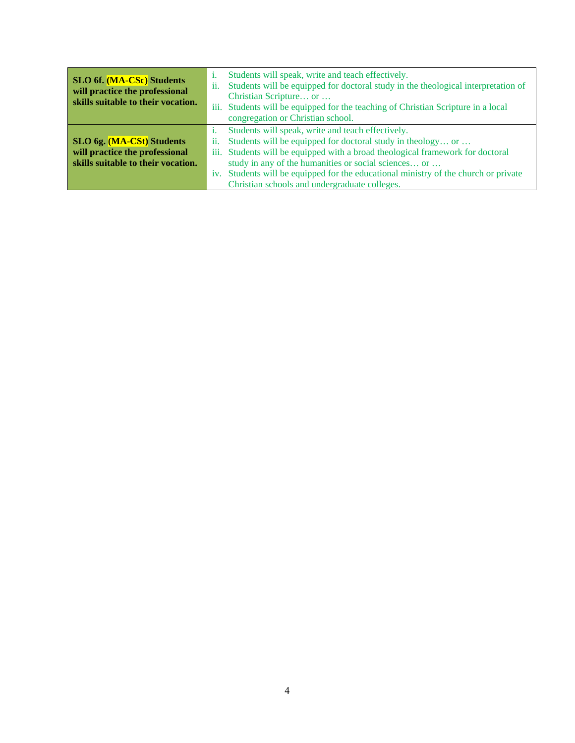| <b>SLO 6f.</b> (MA-CSc) Students<br>will practice the professional<br>skills suitable to their vocation. | 11. | Students will speak, write and teach effectively.<br>Students will be equipped for doctoral study in the theological interpretation of<br>Christian Scripture or<br>iii. Students will be equipped for the teaching of Christian Scripture in a local<br>congregation or Christian school. |
|----------------------------------------------------------------------------------------------------------|-----|--------------------------------------------------------------------------------------------------------------------------------------------------------------------------------------------------------------------------------------------------------------------------------------------|
|                                                                                                          |     | Students will speak, write and teach effectively.                                                                                                                                                                                                                                          |
| SLO 6g. (MA-CSt) Students                                                                                | 11. | Students will be equipped for doctoral study in theology or                                                                                                                                                                                                                                |
| will practice the professional                                                                           |     | iii. Students will be equipped with a broad theological framework for doctoral                                                                                                                                                                                                             |
| skills suitable to their vocation.                                                                       |     | study in any of the humanities or social sciences or                                                                                                                                                                                                                                       |
|                                                                                                          |     | iv. Students will be equipped for the educational ministry of the church or private                                                                                                                                                                                                        |
|                                                                                                          |     | Christian schools and undergraduate colleges.                                                                                                                                                                                                                                              |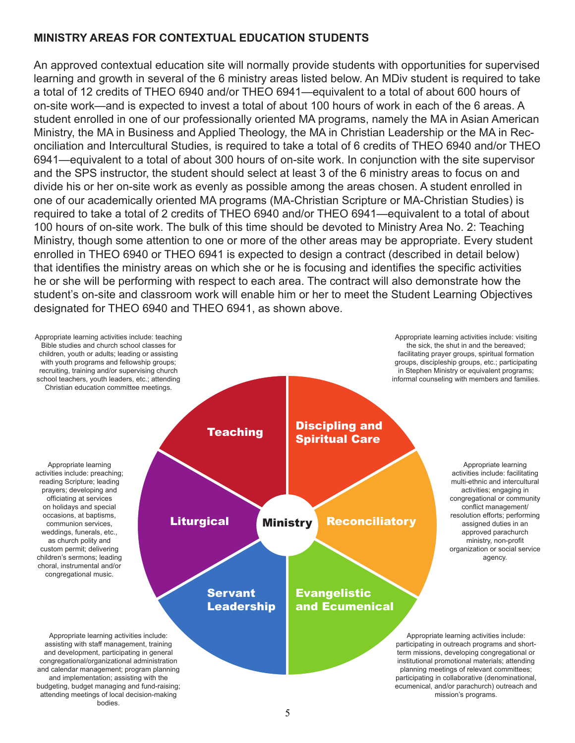## **MINISTRY AREAS FOR CONTEXTUAL EDUCATION STUDENTS**

An approved contextual education site will normally provide students with opportunities for supervised learning and growth in several of the 6 ministry areas listed below. An MDiv student is required to take a total of 12 credits of THEO 6940 and/or THEO 6941—equivalent to a total of about 600 hours of on-site work—and is expected to invest a total of about 100 hours of work in each of the 6 areas. A student enrolled in one of our professionally oriented MA programs, namely the MA in Asian American Ministry, the MA in Business and Applied Theology, the MA in Christian Leadership or the MA in Reconciliation and Intercultural Studies, is required to take a total of 6 credits of THEO 6940 and/or THEO 6941—equivalent to a total of about 300 hours of on-site work. In conjunction with the site supervisor and the SPS instructor, the student should select at least 3 of the 6 ministry areas to focus on and divide his or her on-site work as evenly as possible among the areas chosen. A student enrolled in one of our academically oriented MA programs (MA-Christian Scripture or MA-Christian Studies) is required to take a total of 2 credits of THEO 6940 and/or THEO 6941—equivalent to a total of about 100 hours of on-site work. The bulk of this time should be devoted to Ministry Area No. 2: Teaching Ministry, though some attention to one or more of the other areas may be appropriate. Every student enrolled in THEO 6940 or THEO 6941 is expected to design a contract (described in detail below) that identifies the ministry areas on which she or he is focusing and identifies the specific activities he or she will be performing with respect to each area. The contract will also demonstrate how the student's on-site and classroom work will enable him or her to meet the Student Learning Objectives designated for THEO 6940 and THEO 6941, as shown above.

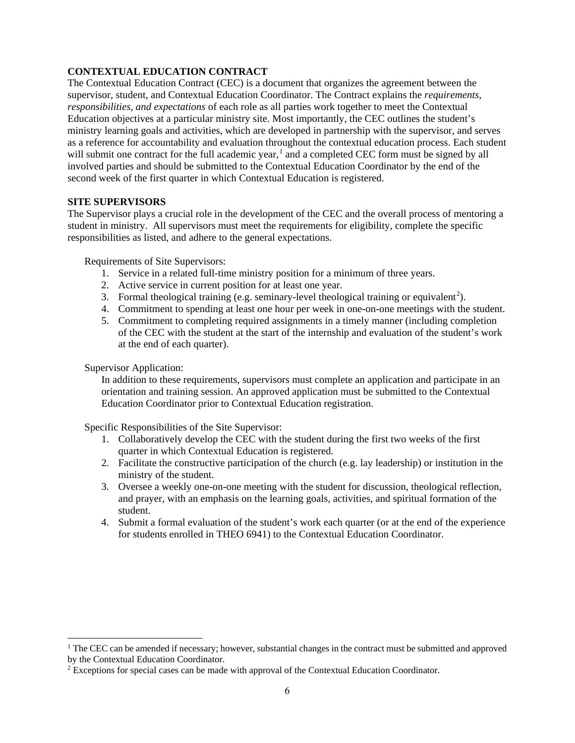### **CONTEXTUAL EDUCATION CONTRACT**

The Contextual Education Contract (CEC) is a document that organizes the agreement between the supervisor, student, and Contextual Education Coordinator. The Contract explains the *requirements*, *responsibilities, and expectations* of each role as all parties work together to meet the Contextual Education objectives at a particular ministry site. Most importantly, the CEC outlines the student's ministry learning goals and activities, which are developed in partnership with the supervisor, and serves as a reference for accountability and evaluation throughout the contextual education process. Each student will submit one contract for the full academic year,<sup>[1](#page-5-2)</sup> and a completed CEC form must be signed by all involved parties and should be submitted to the Contextual Education Coordinator by the end of the second week of the first quarter in which Contextual Education is registered.

### <span id="page-5-0"></span>**SITE SUPERVISORS**

The Supervisor plays a crucial role in the development of the CEC and the overall process of mentoring a student in ministry. All supervisors must meet the requirements for eligibility, complete the specific responsibilities as listed, and adhere to the general expectations.

<span id="page-5-1"></span>Requirements of Site Supervisors:

- 1. Service in a related full-time ministry position for a minimum of three years.
- 2. Active service in current position for at least one year.
- 3. Formal theological training (e.g. seminary-level theological training or equivalent<sup>[2](#page-5-3)</sup>).
- 4. Commitment to spending at least one hour per week in one-on-one meetings with the student.
- 5. Commitment to completing required assignments in a timely manner (including completion of the CEC with the student at the start of the internship and evaluation of the student's work at the end of each quarter).

Supervisor Application:

In addition to these requirements, supervisors must complete an application and participate in an orientation and training session. An approved application must be submitted to the Contextual Education Coordinator prior to Contextual Education registration.

Specific Responsibilities of the Site Supervisor:

- 1. Collaboratively develop the CEC with the student during the first two weeks of the first quarter in which Contextual Education is registered.
- 2. Facilitate the constructive participation of the church (e.g. lay leadership) or institution in the ministry of the student.
- 3. Oversee a weekly one-on-one meeting with the student for discussion, theological reflection, and prayer, with an emphasis on the learning goals, activities, and spiritual formation of the student.
- 4. Submit a formal evaluation of the student's work each quarter (or at the end of the experience for students enrolled in THEO 6941) to the Contextual Education Coordinator.

<span id="page-5-2"></span> $1$  The CEC can be amended if necessary; however, substantial changes in the contract must be submitted and approved by the Contextual Education Coordinator.

<span id="page-5-3"></span><sup>2</sup> Exceptions for special cases can be made with approval of the Contextual Education Coordinator.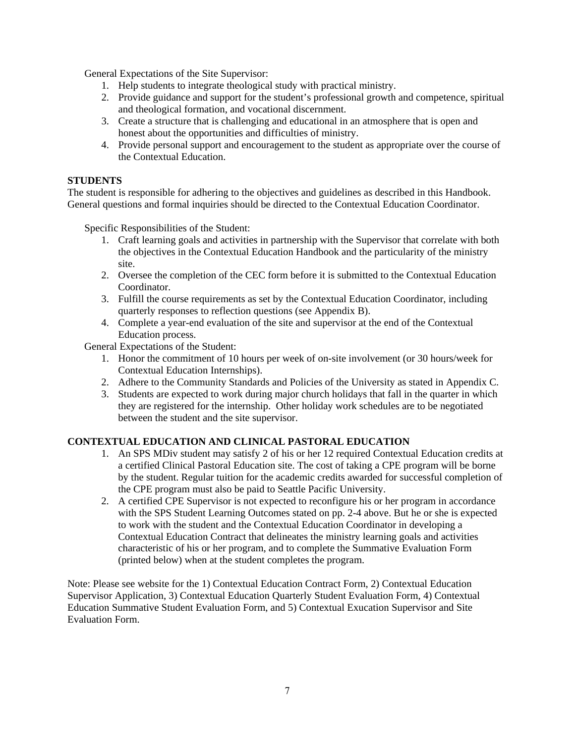General Expectations of the Site Supervisor:

- 1. Help students to integrate theological study with practical ministry.
- 2. Provide guidance and support for the student's professional growth and competence, spiritual and theological formation, and vocational discernment.
- 3. Create a structure that is challenging and educational in an atmosphere that is open and honest about the opportunities and difficulties of ministry.
- 4. Provide personal support and encouragement to the student as appropriate over the course of the Contextual Education.

#### <span id="page-6-0"></span>**STUDENTS**

The student is responsible for adhering to the objectives and guidelines as described in this Handbook. General questions and formal inquiries should be directed to the Contextual Education Coordinator.

Specific Responsibilities of the Student:

- 1. Craft learning goals and activities in partnership with the Supervisor that correlate with both the objectives in the Contextual Education Handbook and the particularity of the ministry site.
- 2. Oversee the completion of the CEC form before it is submitted to the Contextual Education Coordinator.
- 3. Fulfill the course requirements as set by the Contextual Education Coordinator, including quarterly responses to reflection questions (see Appendix B).
- 4. Complete a year-end evaluation of the site and supervisor at the end of the Contextual Education process.

General Expectations of the Student:

- 1. Honor the commitment of 10 hours per week of on-site involvement (or 30 hours/week for Contextual Education Internships).
- 2. Adhere to the Community Standards and Policies of the University as stated in Appendix C.
- 3. Students are expected to work during major church holidays that fall in the quarter in which they are registered for the internship. Other holiday work schedules are to be negotiated between the student and the site supervisor.

#### **CONTEXTUAL EDUCATION AND CLINICAL PASTORAL EDUCATION**

- 1. An SPS MDiv student may satisfy 2 of his or her 12 required Contextual Education credits at a certified Clinical Pastoral Education site. The cost of taking a CPE program will be borne by the student. Regular tuition for the academic credits awarded for successful completion of the CPE program must also be paid to Seattle Pacific University.
- 2. A certified CPE Supervisor is not expected to reconfigure his or her program in accordance with the SPS Student Learning Outcomes stated on pp. 2-4 above. But he or she is expected to work with the student and the Contextual Education Coordinator in developing a Contextual Education Contract that delineates the ministry learning goals and activities characteristic of his or her program, and to complete the Summative Evaluation Form (printed below) when at the student completes the program.

Note: Please see website for the 1) Contextual Education Contract Form, 2) Contextual Education Supervisor Application, 3) Contextual Education Quarterly Student Evaluation Form, 4) Contextual Education Summative Student Evaluation Form, and 5) Contextual Exucation Supervisor and Site Evaluation Form.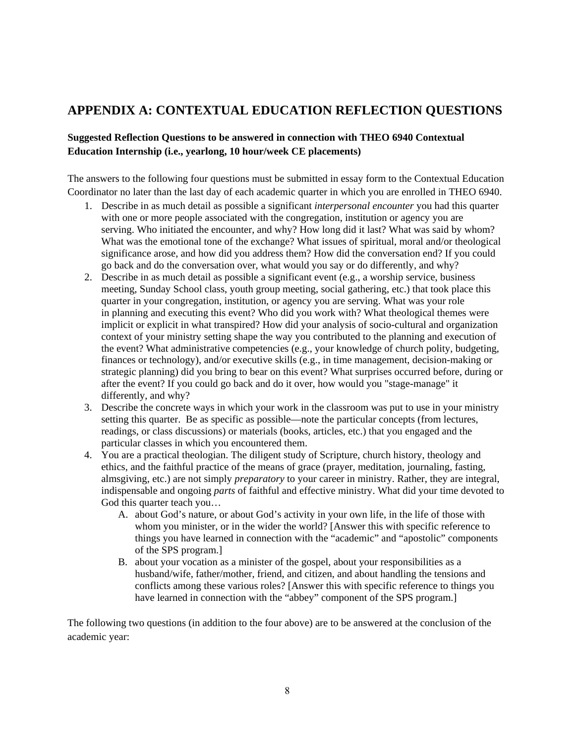# <span id="page-7-0"></span>**APPENDIX A: CONTEXTUAL EDUCATION REFLECTION QUESTIONS**

### **Suggested Reflection Questions to be answered in connection with THEO 6940 Contextual Education Internship (i.e., yearlong, 10 hour/week CE placements)**

The answers to the following four questions must be submitted in essay form to the Contextual Education Coordinator no later than the last day of each academic quarter in which you are enrolled in THEO 6940.

- 1. Describe in as much detail as possible a significant *interpersonal encounter* you had this quarter with one or more people associated with the congregation, institution or agency you are serving. Who initiated the encounter, and why? How long did it last? What was said by whom? What was the emotional tone of the exchange? What issues of spiritual, moral and/or theological significance arose, and how did you address them? How did the conversation end? If you could go back and do the conversation over, what would you say or do differently, and why?
- 2. Describe in as much detail as possible a significant event (e.g., a worship service, business meeting, Sunday School class, youth group meeting, social gathering, etc.) that took place this quarter in your congregation, institution, or agency you are serving. What was your role in planning and executing this event? Who did you work with? What theological themes were implicit or explicit in what transpired? How did your analysis of socio-cultural and organization context of your ministry setting shape the way you contributed to the planning and execution of the event? What administrative competencies (e.g., your knowledge of church polity, budgeting, finances or technology), and/or executive skills (e.g., in time management, decision-making or strategic planning) did you bring to bear on this event? What surprises occurred before, during or after the event? If you could go back and do it over, how would you "stage-manage" it differently, and why?
- 3. Describe the concrete ways in which your work in the classroom was put to use in your ministry setting this quarter. Be as specific as possible—note the particular concepts (from lectures, readings, or class discussions) or materials (books, articles, etc.) that you engaged and the particular classes in which you encountered them.
- 4. You are a practical theologian. The diligent study of Scripture, church history, theology and ethics, and the faithful practice of the means of grace (prayer, meditation, journaling, fasting, almsgiving, etc.) are not simply *preparatory* to your career in ministry. Rather, they are integral, indispensable and ongoing *parts* of faithful and effective ministry. What did your time devoted to God this quarter teach you…
	- A. about God's nature, or about God's activity in your own life, in the life of those with whom you minister, or in the wider the world? [Answer this with specific reference to things you have learned in connection with the "academic" and "apostolic" components of the SPS program.]
	- B. about your vocation as a minister of the gospel, about your responsibilities as a husband/wife, father/mother, friend, and citizen, and about handling the tensions and conflicts among these various roles? [Answer this with specific reference to things you have learned in connection with the "abbey" component of the SPS program.

The following two questions (in addition to the four above) are to be answered at the conclusion of the academic year: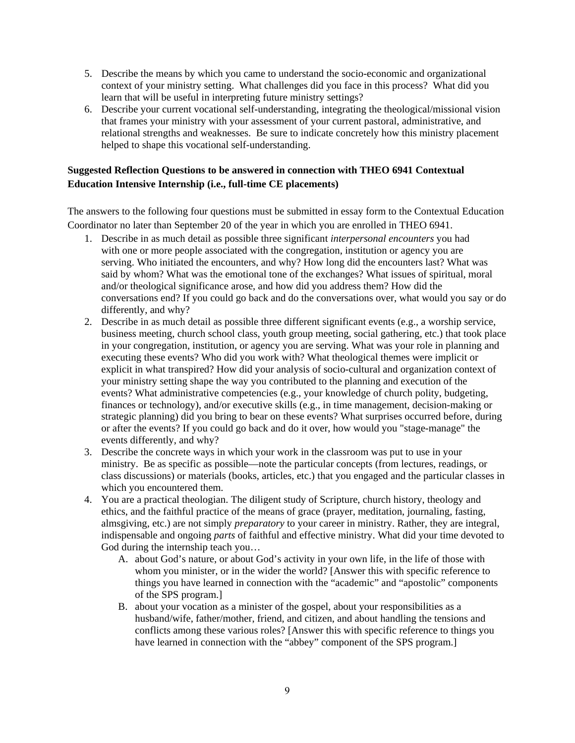- 5. Describe the means by which you came to understand the socio-economic and organizational context of your ministry setting. What challenges did you face in this process? What did you learn that will be useful in interpreting future ministry settings?
- 6. Describe your current vocational self-understanding, integrating the theological/missional vision that frames your ministry with your assessment of your current pastoral, administrative, and relational strengths and weaknesses. Be sure to indicate concretely how this ministry placement helped to shape this vocational self-understanding.

### **Suggested Reflection Questions to be answered in connection with THEO 6941 Contextual Education Intensive Internship (i.e., full-time CE placements)**

The answers to the following four questions must be submitted in essay form to the Contextual Education Coordinator no later than September 20 of the year in which you are enrolled in THEO 6941.

- 1. Describe in as much detail as possible three significant *interpersonal encounters* you had with one or more people associated with the congregation, institution or agency you are serving. Who initiated the encounters, and why? How long did the encounters last? What was said by whom? What was the emotional tone of the exchanges? What issues of spiritual, moral and/or theological significance arose, and how did you address them? How did the conversations end? If you could go back and do the conversations over, what would you say or do differently, and why?
- 2. Describe in as much detail as possible three different significant events (e.g., a worship service, business meeting, church school class, youth group meeting, social gathering, etc.) that took place in your congregation, institution, or agency you are serving. What was your role in planning and executing these events? Who did you work with? What theological themes were implicit or explicit in what transpired? How did your analysis of socio-cultural and organization context of your ministry setting shape the way you contributed to the planning and execution of the events? What administrative competencies (e.g., your knowledge of church polity, budgeting, finances or technology), and/or executive skills (e.g., in time management, decision-making or strategic planning) did you bring to bear on these events? What surprises occurred before, during or after the events? If you could go back and do it over, how would you "stage-manage" the events differently, and why?
- 3. Describe the concrete ways in which your work in the classroom was put to use in your ministry. Be as specific as possible—note the particular concepts (from lectures, readings, or class discussions) or materials (books, articles, etc.) that you engaged and the particular classes in which you encountered them.
- 4. You are a practical theologian. The diligent study of Scripture, church history, theology and ethics, and the faithful practice of the means of grace (prayer, meditation, journaling, fasting, almsgiving, etc.) are not simply *preparatory* to your career in ministry. Rather, they are integral, indispensable and ongoing *parts* of faithful and effective ministry. What did your time devoted to God during the internship teach you…
	- A. about God's nature, or about God's activity in your own life, in the life of those with whom you minister, or in the wider the world? [Answer this with specific reference to things you have learned in connection with the "academic" and "apostolic" components of the SPS program.]
	- B. about your vocation as a minister of the gospel, about your responsibilities as a husband/wife, father/mother, friend, and citizen, and about handling the tensions and conflicts among these various roles? [Answer this with specific reference to things you have learned in connection with the "abbey" component of the SPS program.]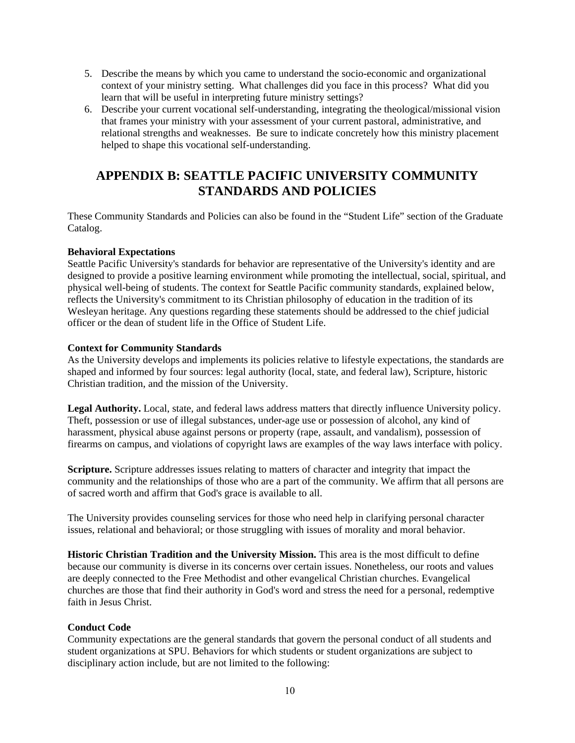- 5. Describe the means by which you came to understand the socio-economic and organizational context of your ministry setting. What challenges did you face in this process? What did you learn that will be useful in interpreting future ministry settings?
- 6. Describe your current vocational self-understanding, integrating the theological/missional vision that frames your ministry with your assessment of your current pastoral, administrative, and relational strengths and weaknesses. Be sure to indicate concretely how this ministry placement helped to shape this vocational self-understanding.

# <span id="page-9-0"></span>**APPENDIX B: SEATTLE PACIFIC UNIVERSITY COMMUNITY STANDARDS AND POLICIES**

These Community Standards and Policies can also be found in the "Student Life" section of the Graduate Catalog.

### **Behavioral Expectations**

Seattle Pacific University's standards for behavior are representative of the University's identity and are designed to provide a positive learning environment while promoting the intellectual, social, spiritual, and physical well-being of students. The context for Seattle Pacific community standards, explained below, reflects the University's commitment to its Christian philosophy of education in the tradition of its Wesleyan heritage. Any questions regarding these statements should be addressed to the chief judicial officer or the dean of student life in the [Office of Student Life.](http://www.spu.edu/depts/studentlife/)

### **Context for Community Standards**

As the University develops and implements its policies relative to lifestyle expectations, the standards are shaped and informed by four sources: legal authority (local, state, and federal law), Scripture, historic Christian tradition, and the [mission of the University.](http://www.spu.edu/acad/GRCatalog/20090/mission.asp)

**Legal Authority.** Local, state, and federal laws address matters that directly influence University policy. Theft, possession or use of illegal substances, under-age use or possession of alcohol, any kind of harassment, physical abuse against persons or property (rape, assault, and vandalism), possession of firearms on campus, and violations of copyright laws are examples of the way laws interface with policy.

**Scripture.** Scripture addresses issues relating to matters of character and integrity that impact the community and the relationships of those who are a part of the community. We affirm that all persons are of sacred worth and affirm that God's grace is available to all.

The University provides [counseling services](http://www.spu.edu/depts/scc/) for those who need help in clarifying personal character issues, relational and behavioral; or those struggling with issues of morality and moral behavior.

**Historic Christian Tradition and the University Mission.** This area is the most difficult to define because our community is diverse in its concerns over certain issues. Nonetheless, our roots and values are deeply connected to the Free Methodist and other evangelical Christian churches. Evangelical churches are those that find their authority in God's word and stress the need for a personal, redemptive faith in Jesus Christ.

### **Conduct Code**

Community expectations are the general standards that govern the personal conduct of all students and student organizations at SPU. Behaviors for which students or student organizations are subject to disciplinary action include, but are not limited to the following: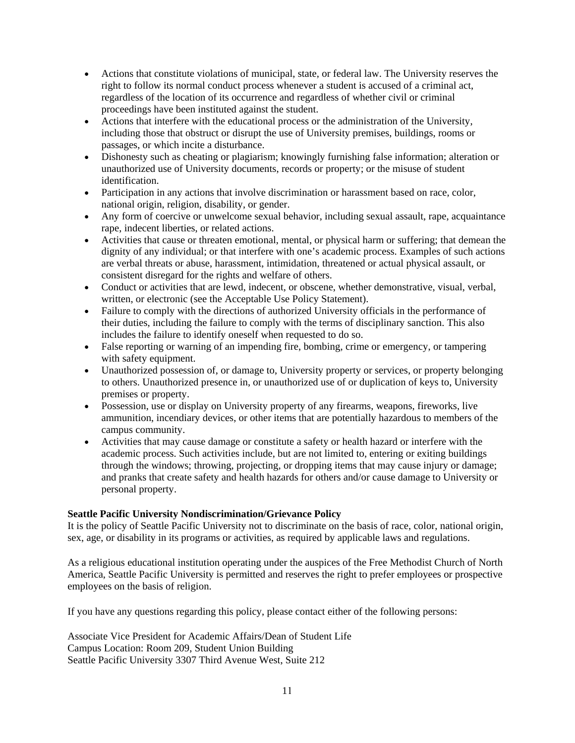- Actions that constitute violations of municipal, state, or federal law. The University reserves the right to follow its normal conduct process whenever a student is accused of a criminal act, regardless of the location of its occurrence and regardless of whether civil or criminal proceedings have been instituted against the student.
- Actions that interfere with the educational process or the administration of the University, including those that obstruct or disrupt the use of University premises, buildings, rooms or passages, or which incite a disturbance.
- Dishonesty such as cheating or plagiarism; knowingly furnishing false information; alteration or unauthorized use of University documents, records or property; or the misuse of student identification.
- Participation in any actions that involve discrimination or harassment based on race, color, national origin, religion, disability, or gender.
- Any form of coercive or unwelcome sexual behavior, including sexual assault, rape, acquaintance rape, indecent liberties, or related actions.
- Activities that cause or threaten emotional, mental, or physical harm or suffering; that demean the dignity of any individual; or that interfere with one's academic process. Examples of such actions are verbal threats or abuse, harassment, intimidation, threatened or actual physical assault, or consistent disregard for the rights and welfare of others.
- Conduct or activities that are lewd, indecent, or obscene, whether demonstrative, visual, verbal, written, or electronic (see the [Acceptable Use Policy Statement\)](http://www.spu.edu/CISHelpDesk/policies/user/).
- Failure to comply with the directions of authorized University officials in the performance of their duties, including the failure to comply with the terms of disciplinary sanction. This also includes the failure to identify oneself when requested to do so.
- False reporting or warning of an impending fire, bombing, crime or emergency, or tampering with safety equipment.
- Unauthorized possession of, or damage to, University property or services, or property belonging to others. Unauthorized presence in, or unauthorized use of or duplication of keys to, University premises or property.
- Possession, use or display on University property of any firearms, weapons, fireworks, live ammunition, incendiary devices, or other items that are potentially hazardous to members of the campus community.
- Activities that may cause damage or constitute a safety or health hazard or interfere with the academic process. Such activities include, but are not limited to, entering or exiting buildings through the windows; throwing, projecting, or dropping items that may cause injury or damage; and pranks that create safety and health hazards for others and/or cause damage to University or personal property.

### **Seattle Pacific University Nondiscrimination/Grievance Policy**

It is the policy of Seattle Pacific University not to discriminate on the basis of race, color, national origin, sex, age, or disability in its programs or activities, as required by applicable laws and regulations.

As a religious educational institution operating under the auspices of the Free Methodist Church of North America, Seattle Pacific University is permitted and reserves the right to prefer employees or prospective employees on the basis of religion.

If you have any questions regarding this policy, please contact either of the following persons:

Associate Vice President for Academic Affairs/Dean of Student Life Campus Location: Room 209, Student Union Building Seattle Pacific University 3307 Third Avenue West, Suite 212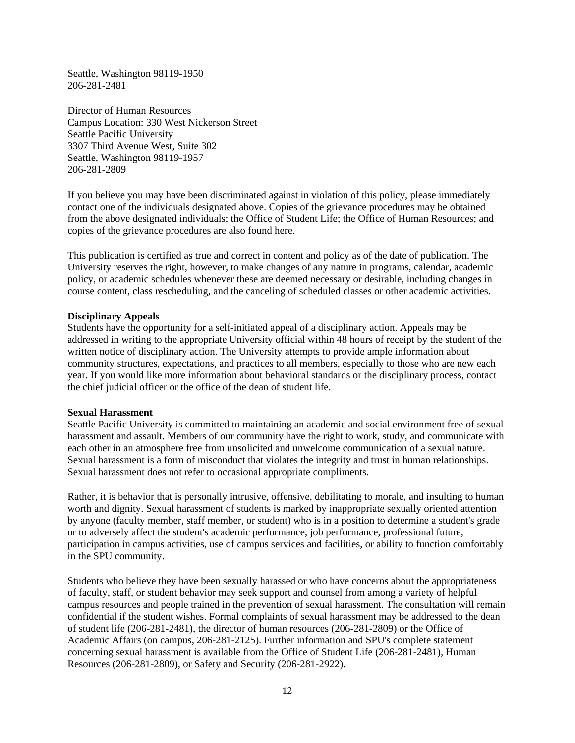Seattle, Washington 98119-1950 206-281-2481

Director of Human Resources Campus Location: 330 West Nickerson Street Seattle Pacific University 3307 Third Avenue West, Suite 302 Seattle, Washington 98119-1957 206-281-2809

If you believe you may have been discriminated against in violation of this policy, please immediately contact one of the individuals designated above. Copies of the grievance procedures may be obtained from the above designated individuals; the [Office of Student Life;](http://www.spu.edu/depts/studentlife/) the [Office of Human Resources;](http://www.spu.edu/depts/hr/) and copies of the grievance procedures are also [found here.](http://www.spu.edu/depts/hr/staffHandbook/newhandbook/nondiscrimination.htm#grievance)

This publication is certified as true and correct in content and policy as of the date of publication. The University reserves the right, however, to make changes of any nature in programs, calendar, academic policy, or academic schedules whenever these are deemed necessary or desirable, including changes in course content, class rescheduling, and the canceling of scheduled classes or other academic activities.

#### **Disciplinary Appeals**

Students have the opportunity for a self-initiated appeal of a disciplinary action. Appeals may be addressed in writing to the appropriate University official within 48 hours of receipt by the student of the written notice of disciplinary action. The University attempts to provide ample information about community structures, expectations, and practices to all members, especially to those who are new each year. If you would like more information about behavioral standards or the disciplinary process, contact the chief judicial officer or the office of the dean of student life.

#### **Sexual Harassment**

Seattle Pacific University is committed to maintaining an academic and social environment free of sexual harassment and assault. Members of our community have the right to work, study, and communicate with each other in an atmosphere free from unsolicited and unwelcome communication of a sexual nature. Sexual harassment is a form of misconduct that violates the integrity and trust in human relationships. Sexual harassment does not refer to occasional appropriate compliments.

Rather, it is behavior that is personally intrusive, offensive, debilitating to morale, and insulting to human worth and dignity. Sexual harassment of students is marked by inappropriate sexually oriented attention by anyone (faculty member, staff member, or student) who is in a position to determine a student's grade or to adversely affect the student's academic performance, job performance, professional future, participation in campus activities, use of campus services and facilities, or ability to function comfortably in the SPU community.

Students who believe they have been sexually harassed or who have concerns about the appropriateness of faculty, staff, or student behavior may seek support and counsel from among a variety of helpful campus resources and people trained in the prevention of sexual harassment. The consultation will remain confidential if the student wishes. Formal complaints of sexual harassment may be addressed to the dean of student life (206-281-2481), the director of human resources (206-281-2809) or the Office of Academic Affairs (on campus, 206-281-2125). Further information and SPU's complete statement concerning sexual harassment is available from the [Office of Student Life](http://www.spu.edu/depts/studentlife/) (206-281-2481), [Human](http://www.spu.edu/depts/hr/)  [Resources](http://www.spu.edu/depts/hr/) (206-281-2809), or [Safety and Security](http://www.spu.edu/depts/security/) (206-281-2922).